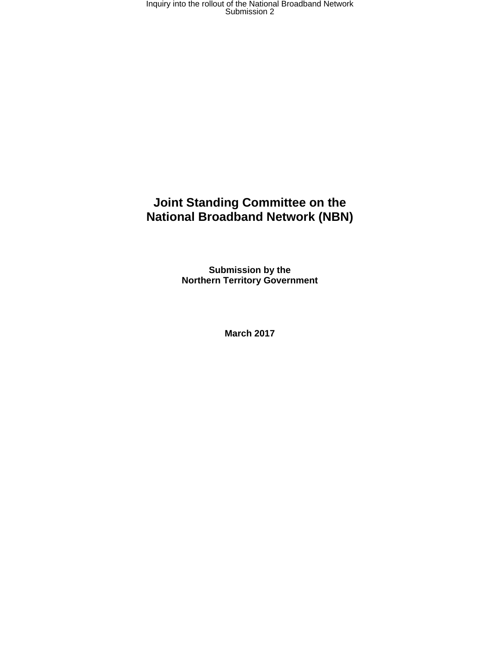## **Joint Standing Committee on the National Broadband Network (NBN)**

**Submission by the Northern Territory Government** 

**March 2017**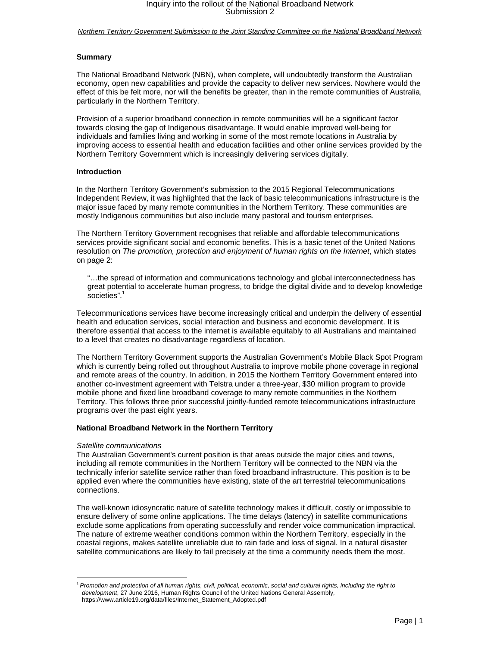*Northern Territory Government Submission to the Joint Standing Committee on the National Broadband Network* 

### **Summary**

The National Broadband Network (NBN), when complete, will undoubtedly transform the Australian economy, open new capabilities and provide the capacity to deliver new services. Nowhere would the effect of this be felt more, nor will the benefits be greater, than in the remote communities of Australia, particularly in the Northern Territory.

Provision of a superior broadband connection in remote communities will be a significant factor towards closing the gap of Indigenous disadvantage. It would enable improved well-being for individuals and families living and working in some of the most remote locations in Australia by improving access to essential health and education facilities and other online services provided by the Northern Territory Government which is increasingly delivering services digitally.

#### **Introduction**

In the Northern Territory Government's submission to the 2015 Regional Telecommunications Independent Review, it was highlighted that the lack of basic telecommunications infrastructure is the major issue faced by many remote communities in the Northern Territory. These communities are mostly Indigenous communities but also include many pastoral and tourism enterprises.

The Northern Territory Government recognises that reliable and affordable telecommunications services provide significant social and economic benefits. This is a basic tenet of the United Nations resolution on *The promotion, protection and enjoyment of human rights on the Internet*, which states on page 2:

"…the spread of information and communications technology and global interconnectedness has great potential to accelerate human progress, to bridge the digital divide and to develop knowledge societies".<sup>1</sup>

Telecommunications services have become increasingly critical and underpin the delivery of essential health and education services, social interaction and business and economic development. It is therefore essential that access to the internet is available equitably to all Australians and maintained to a level that creates no disadvantage regardless of location.

The Northern Territory Government supports the Australian Government's Mobile Black Spot Program which is currently being rolled out throughout Australia to improve mobile phone coverage in regional and remote areas of the country. In addition, in 2015 the Northern Territory Government entered into another co-investment agreement with Telstra under a three-year, \$30 million program to provide mobile phone and fixed line broadband coverage to many remote communities in the Northern Territory. This follows three prior successful jointly-funded remote telecommunications infrastructure programs over the past eight years.

#### **National Broadband Network in the Northern Territory**

#### *Satellite communications*

The Australian Government's current position is that areas outside the major cities and towns, including all remote communities in the Northern Territory will be connected to the NBN via the technically inferior satellite service rather than fixed broadband infrastructure. This position is to be applied even where the communities have existing, state of the art terrestrial telecommunications connections.

The well-known idiosyncratic nature of satellite technology makes it difficult, costly or impossible to ensure delivery of some online applications. The time delays (latency) in satellite communications exclude some applications from operating successfully and render voice communication impractical. The nature of extreme weather conditions common within the Northern Territory, especially in the coastal regions, makes satellite unreliable due to rain fade and loss of signal. In a natural disaster satellite communications are likely to fail precisely at the time a community needs them the most.

 <sup>1</sup> *Promotion and protection of all human rights, civil, political, economic, social and cultural rights, including the right to development*, 27 June 2016, Human Rights Council of the United Nations General Assembly, https://www.article19.org/data/files/Internet\_Statement\_Adopted.pdf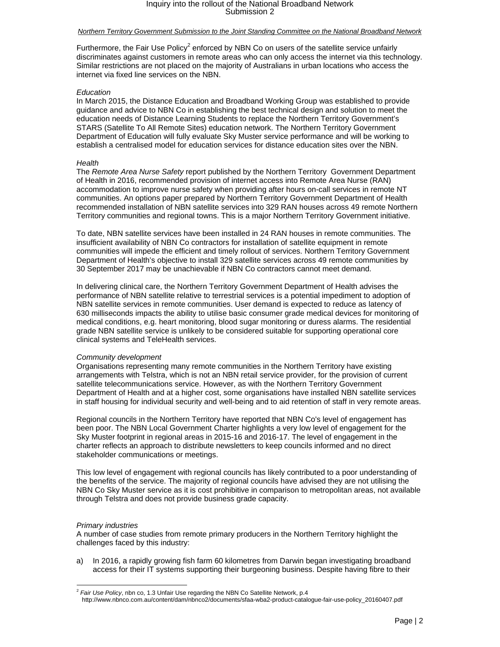## *Northern Territory Government Submission to the Joint Standing Committee on the National Broadband Network*

Furthermore, the Fair Use Policy<sup>2</sup> enforced by NBN Co on users of the satellite service unfairly discriminates against customers in remote areas who can only access the internet via this technology. Similar restrictions are not placed on the majority of Australians in urban locations who access the internet via fixed line services on the NBN.

## *Education*

In March 2015, the Distance Education and Broadband Working Group was established to provide guidance and advice to NBN Co in establishing the best technical design and solution to meet the education needs of Distance Learning Students to replace the Northern Territory Government's STARS (Satellite To All Remote Sites) education network. The Northern Territory Government Department of Education will fully evaluate Sky Muster service performance and will be working to establish a centralised model for education services for distance education sites over the NBN.

## *Health*

The *Remote Area Nurse Safety* report published by the Northern Territory Government Department of Health in 2016, recommended provision of internet access into Remote Area Nurse (RAN) accommodation to improve nurse safety when providing after hours on-call services in remote NT communities. An options paper prepared by Northern Territory Government Department of Health recommended installation of NBN satellite services into 329 RAN houses across 49 remote Northern Territory communities and regional towns. This is a major Northern Territory Government initiative.

To date, NBN satellite services have been installed in 24 RAN houses in remote communities. The insufficient availability of NBN Co contractors for installation of satellite equipment in remote communities will impede the efficient and timely rollout of services. Northern Territory Government Department of Health's objective to install 329 satellite services across 49 remote communities by 30 September 2017 may be unachievable if NBN Co contractors cannot meet demand.

In delivering clinical care, the Northern Territory Government Department of Health advises the performance of NBN satellite relative to terrestrial services is a potential impediment to adoption of NBN satellite services in remote communities. User demand is expected to reduce as latency of 630 milliseconds impacts the ability to utilise basic consumer grade medical devices for monitoring of medical conditions, e.g. heart monitoring, blood sugar monitoring or duress alarms. The residential grade NBN satellite service is unlikely to be considered suitable for supporting operational core clinical systems and TeleHealth services.

### *Community development*

Organisations representing many remote communities in the Northern Territory have existing arrangements with Telstra, which is not an NBN retail service provider, for the provision of current satellite telecommunications service. However, as with the Northern Territory Government Department of Health and at a higher cost, some organisations have installed NBN satellite services in staff housing for individual security and well-being and to aid retention of staff in very remote areas.

Regional councils in the Northern Territory have reported that NBN Co's level of engagement has been poor. The NBN Local Government Charter highlights a very low level of engagement for the Sky Muster footprint in regional areas in 2015-16 and 2016-17. The level of engagement in the charter reflects an approach to distribute newsletters to keep councils informed and no direct stakeholder communications or meetings.

This low level of engagement with regional councils has likely contributed to a poor understanding of the benefits of the service. The majority of regional councils have advised they are not utilising the NBN Co Sky Muster service as it is cost prohibitive in comparison to metropolitan areas, not available through Telstra and does not provide business grade capacity.

### *Primary industries*

A number of case studies from remote primary producers in the Northern Territory highlight the challenges faced by this industry:

a) In 2016, a rapidly growing fish farm 60 kilometres from Darwin began investigating broadband access for their IT systems supporting their burgeoning business. Despite having fibre to their

 <sup>2</sup> *Fair Use Policy*, nbn co, 1.3 Unfair Use regarding the NBN Co Satellite Network, p.4 http://www.nbnco.com.au/content/dam/nbnco2/documents/sfaa-wba2-product-catalogue-fair-use-policy\_20160407.pdf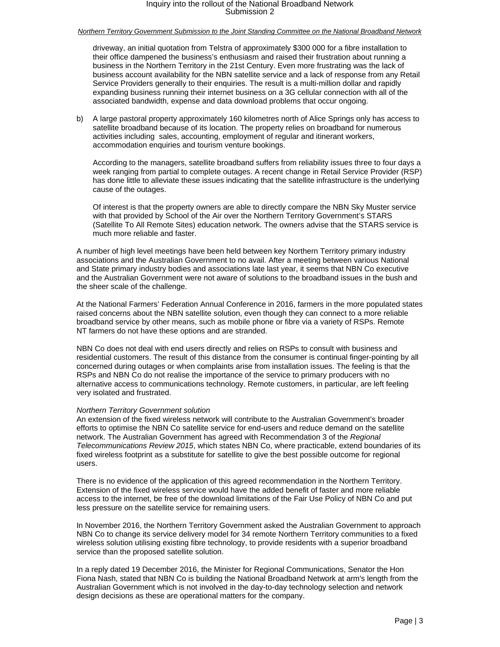### *Northern Territory Government Submission to the Joint Standing Committee on the National Broadband Network*

driveway, an initial quotation from Telstra of approximately \$300 000 for a fibre installation to their office dampened the business's enthusiasm and raised their frustration about running a business in the Northern Territory in the 21st Century. Even more frustrating was the lack of business account availability for the NBN satellite service and a lack of response from any Retail Service Providers generally to their enquiries. The result is a multi-million dollar and rapidly expanding business running their internet business on a 3G cellular connection with all of the associated bandwidth, expense and data download problems that occur ongoing.

b) A large pastoral property approximately 160 kilometres north of Alice Springs only has access to satellite broadband because of its location. The property relies on broadband for numerous activities including sales, accounting, employment of regular and itinerant workers, accommodation enquiries and tourism venture bookings.

According to the managers, satellite broadband suffers from reliability issues three to four days a week ranging from partial to complete outages. A recent change in Retail Service Provider (RSP) has done little to alleviate these issues indicating that the satellite infrastructure is the underlying cause of the outages.

Of interest is that the property owners are able to directly compare the NBN Sky Muster service with that provided by School of the Air over the Northern Territory Government's STARS (Satellite To All Remote Sites) education network. The owners advise that the STARS service is much more reliable and faster.

A number of high level meetings have been held between key Northern Territory primary industry associations and the Australian Government to no avail. After a meeting between various National and State primary industry bodies and associations late last year, it seems that NBN Co executive and the Australian Government were not aware of solutions to the broadband issues in the bush and the sheer scale of the challenge.

At the National Farmers' Federation Annual Conference in 2016, farmers in the more populated states raised concerns about the NBN satellite solution, even though they can connect to a more reliable broadband service by other means, such as mobile phone or fibre via a variety of RSPs. Remote NT farmers do not have these options and are stranded.

NBN Co does not deal with end users directly and relies on RSPs to consult with business and residential customers. The result of this distance from the consumer is continual finger-pointing by all concerned during outages or when complaints arise from installation issues. The feeling is that the RSPs and NBN Co do not realise the importance of the service to primary producers with no alternative access to communications technology. Remote customers, in particular, are left feeling very isolated and frustrated.

#### *Northern Territory Government solution*

An extension of the fixed wireless network will contribute to the Australian Government's broader efforts to optimise the NBN Co satellite service for end-users and reduce demand on the satellite network. The Australian Government has agreed with Recommendation 3 of the *Regional Telecommunications Review 2015*, which states NBN Co, where practicable, extend boundaries of its fixed wireless footprint as a substitute for satellite to give the best possible outcome for regional users.

There is no evidence of the application of this agreed recommendation in the Northern Territory. Extension of the fixed wireless service would have the added benefit of faster and more reliable access to the internet, be free of the download limitations of the Fair Use Policy of NBN Co and put less pressure on the satellite service for remaining users.

In November 2016, the Northern Territory Government asked the Australian Government to approach NBN Co to change its service delivery model for 34 remote Northern Territory communities to a fixed wireless solution utilising existing fibre technology, to provide residents with a superior broadband service than the proposed satellite solution.

In a reply dated 19 December 2016, the Minister for Regional Communications, Senator the Hon Fiona Nash, stated that NBN Co is building the National Broadband Network at arm's length from the Australian Government which is not involved in the day-to-day technology selection and network design decisions as these are operational matters for the company.